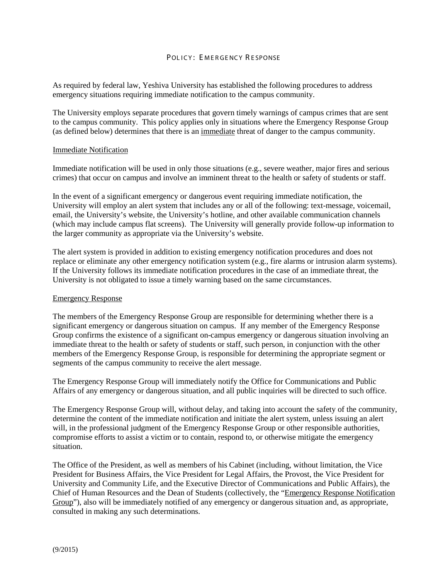## POLICY: EMERGENCY RESPONSE

As required by federal law, Yeshiva University has established the following procedures to address emergency situations requiring immediate notification to the campus community.

The University employs separate procedures that govern timely warnings of campus crimes that are sent to the campus community. This policy applies only in situations where the Emergency Response Group (as defined below) determines that there is an immediate threat of danger to the campus community.

### Immediate Notification

Immediate notification will be used in only those situations (e.g., severe weather, major fires and serious crimes) that occur on campus and involve an imminent threat to the health or safety of students or staff.

In the event of a significant emergency or dangerous event requiring immediate notification, the University will employ an alert system that includes any or all of the following: text-message, voicemail, email, the University's website, the University's hotline, and other available communication channels (which may include campus flat screens). The University will generally provide follow-up information to the larger community as appropriate via the University's website.

The alert system is provided in addition to existing emergency notification procedures and does not replace or eliminate any other emergency notification system (e.g., fire alarms or intrusion alarm systems). If the University follows its immediate notification procedures in the case of an immediate threat, the University is not obligated to issue a timely warning based on the same circumstances.

### Emergency Response

The members of the Emergency Response Group are responsible for determining whether there is a significant emergency or dangerous situation on campus. If any member of the Emergency Response Group confirms the existence of a significant on-campus emergency or dangerous situation involving an immediate threat to the health or safety of students or staff, such person, in conjunction with the other members of the Emergency Response Group, is responsible for determining the appropriate segment or segments of the campus community to receive the alert message.

The Emergency Response Group will immediately notify the Office for Communications and Public Affairs of any emergency or dangerous situation, and all public inquiries will be directed to such office.

The Emergency Response Group will, without delay, and taking into account the safety of the community, determine the content of the immediate notification and initiate the alert system, unless issuing an alert will, in the professional judgment of the Emergency Response Group or other responsible authorities, compromise efforts to assist a victim or to contain, respond to, or otherwise mitigate the emergency situation.

The Office of the President, as well as members of his Cabinet (including, without limitation, the Vice President for Business Affairs, the Vice President for Legal Affairs, the Provost, the Vice President for University and Community Life, and the Executive Director of Communications and Public Affairs), the Chief of Human Resources and the Dean of Students (collectively, the "Emergency Response Notification Group"), also will be immediately notified of any emergency or dangerous situation and, as appropriate, consulted in making any such determinations.